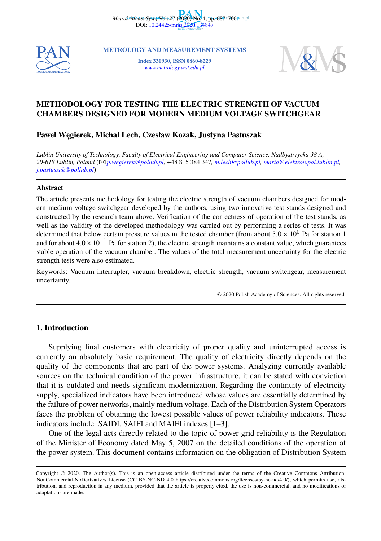



**METROLOGY AND MEASUREMENT SYSTEMS [Index 3309](mailto:p.wegierek@pollub.pl)30, ISSN 0860-8229** *www.metrology.wat.edu.pl*



# **METHODOLOGY FOR TESTING THE ELECTRIC STRENGTH OF VACUUM CHAMBERS DESIGNED FOR MODERN MEDIUM VOLTAGE SWITCHGEAR**

### **Paweł W ˛egierek, Michał Lech, Czesław Kozak, Justyna Pastuszak**

*Lublin University of Technology, Faculty of Electrical Engineering and Computer Science, Nadbystrzycka 38 A, 20-618 Lublin, Poland* (B*p.wegierek@pollub.pl,* +48 815 384 347*, m.lech@pollub.pl, mario@elektron.pol.lublin.pl, j.pastuszak@pollub.pl*)

#### **Abstract**

The article presents methodology for testing the electric strength of vacuum chambers designed for modern medium voltage switchgear developed by the authors, using two innovative test stands designed and constructed by the research team above. Verification of the correctness of operation of the test stands, as well as the validity of the developed methodology was carried out by performing a series of tests. It was determined that below certain pressure values in the tested chamber (from about  $5.0 \times 10^{0}$  Pa for station 1 and for about  $4.0 \times 10^{-1}$  Pa for station 2), the electric strength maintains a constant value, which guarantees stable operation of the vacuum chamber. The values of the total measurement uncertainty for the electric strength tests were also estimated.

Keywords: Vacuum interrupter, vacuum breakdown, electric strength, vacuum switchgear, measurement uncertainty.

© 2020 Polish Academy of Sciences. All rights reserved

# **1. Introduction**

Supplying final customers with electricity of proper quality and uninterrupted access is currently an absolutely basic requirement. The quality of electricity directly depends on the quality of the components that are part of the power systems. Analyzing currently available sources on the technical condition of the power infrastructure, it can be stated with conviction that it is outdated and needs significant modernization. Regarding the continuity of electricity supply, specialized indicators have been introduced whose values are essentially determined by the failure of power networks, mainly medium voltage. Each of the Distribution System Operators faces the problem of obtaining the lowest possible values of power reliability indicators. These indicators include: SAIDI, SAIFI and MAIFI indexes [1–3].

One of the legal acts directly related to the topic of power grid reliability is the Regulation of the Minister of Economy dated May 5, 2007 on the detailed conditions of the operation of the power system. This document contains information on the obligation of Distribution System

Copyright © 2020. The Author(s). This is an open-access article distributed under the terms of the Creative Commons Attribution-NonCommercial-NoDerivatives License (CC BY-NC-ND 4.0 https://creativecommons.org/licenses/by-nc-nd/4.0/), which permits use, distribution, and reproduction in any medium, provided that the article is properly cited, the use is non-commercial, and no modifications or adaptations are made.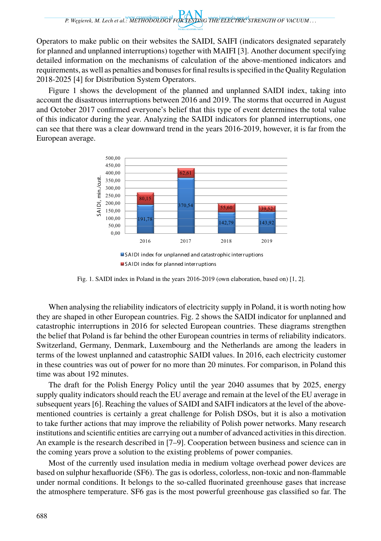Operators to make public on their websites the SAIDI, SAIFI (indicators designated separately for planned and unplanned interruptions) together with MAIFI [3]. Another document specifying detailed information on the mechanisms of calculation of the above-mentioned indicators and requirements, as well as penalties and bonuses for final results is specified in the Quality Regulation 2018-2025 [4] for Distribution System Operators.

Figure 1 shows the development of the planned and unplanned SAIDI index, taking into account the disastrous interruptions between 2016 and 2019. The storms that occurred in August and October 2017 confirmed everyone's belief that this type of event determines the total value of this indicator during the year. Analyzing the SAIDI indicators for planned interruptions, one can see that there was a clear downward trend in the years 2016-2019, however, it is far from the European average.



Fig. 1. SAIDI index in Poland in the years 2016-2019 (own elaboration, based on) [1, 2].

When analysing the reliability indicators of electricity supply in Poland, it is worth noting how they are shaped in other European countries. Fig. 2 shows the SAIDI indicator for unplanned and catastrophic interruptions in 2016 for selected European countries. These diagrams strengthen the belief that Poland is far behind the other European countries in terms of reliability indicators. Switzerland, Germany, Denmark, Luxembourg and the Netherlands are among the leaders in terms of the lowest unplanned and catastrophic SAIDI values. In 2016, each electricity customer in these countries was out of power for no more than 20 minutes. For comparison, in Poland this time was about 192 minutes.

The draft for the Polish Energy Policy until the year 2040 assumes that by 2025, energy supply quality indicators should reach the EU average and remain at the level of the EU average in subsequent years [6]. Reaching the values of SAIDI and SAIFI indicators at the level of the abovementioned countries is certainly a great challenge for Polish DSOs, but it is also a motivation to take further actions that may improve the reliability of Polish power networks. Many research institutions and scientific entities are carrying out a number of advanced activities in this direction. An example is the research described in [7–9]. Cooperation between business and science can in the coming years prove a solution to the existing problems of power companies.

Most of the currently used insulation media in medium voltage overhead power devices are based on sulphur hexafluoride (SF6). The gas is odorless, colorless, non-toxic and non-flammable under normal conditions. It belongs to the so-called fluorinated greenhouse gases that increase the atmosphere temperature. SF6 gas is the most powerful greenhouse gas classified so far. The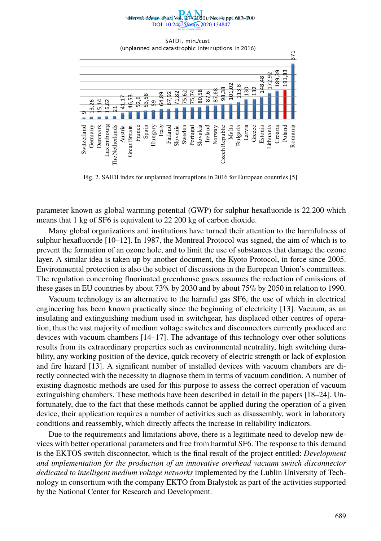

Fig. 2. SAIDI index for unplanned interruptions in 2016 for European countries [5].

parameter known as global warming potential (GWP) for sulphur hexafluoride is 22.200 which means that 1 kg of SF6 is equivalent to 22 200 kg of carbon dioxide.

Many global organizations and institutions have turned their attention to the harmfulness of sulphur hexafluoride [10–12]. In 1987, the Montreal Protocol was signed, the aim of which is to prevent the formation of an ozone hole, and to limit the use of substances that damage the ozone layer. A similar idea is taken up by another document, the Kyoto Protocol, in force since 2005. Environmental protection is also the subject of discussions in the European Union's committees. The regulation concerning fluorinated greenhouse gases assumes the reduction of emissions of these gases in EU countries by about 73% by 2030 and by about 75% by 2050 in relation to 1990.

Vacuum technology is an alternative to the harmful gas SF6, the use of which in electrical engineering has been known practically since the beginning of electricity [13]. Vacuum, as an insulating and extinguishing medium used in switchgear, has displaced other centres of operation, thus the vast majority of medium voltage switches and disconnectors currently produced are devices with vacuum chambers [14–17]. The advantage of this technology over other solutions results from its extraordinary properties such as environmental neutrality, high switching durability, any working position of the device, quick recovery of electric strength or lack of explosion and fire hazard [13]. A significant number of installed devices with vacuum chambers are directly connected with the necessity to diagnose them in terms of vacuum condition. A number of existing diagnostic methods are used for this purpose to assess the correct operation of vacuum extinguishing chambers. These methods have been described in detail in the papers [18–24]. Unfortunately, due to the fact that these methods cannot be applied during the operation of a given device, their application requires a number of activities such as disassembly, work in laboratory conditions and reassembly, which directly affects the increase in reliability indicators.

Due to the requirements and limitations above, there is a legitimate need to develop new devices with better operational parameters and free from harmful SF6. The response to this demand is the EKTOS switch disconnector, which is the final result of the project entitled: *Development and implementation for the production of an innovative overhead vacuum switch disconnector dedicated to intelligent medium voltage networks* implemented by the Lublin University of Technology in consortium with the company EKTO from Białystok as part of the activities supported by the National Center for Research and Development.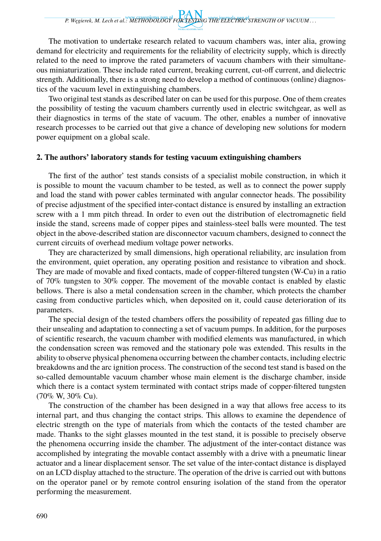*P. W ˛egierek, M. Lech et al.: METHODOLOGY FOR TESTING THE ELECTRIC STRENGTH OF VACUUM . . .*

The motivation to undertake research related to vacuum chambers was, inter alia, growing demand for electricity and requirements for the reliability of electricity supply, which is directly related to the need to improve the rated parameters of vacuum chambers with their simultaneous miniaturization. These include rated current, breaking current, cut-off current, and dielectric strength. Additionally, there is a strong need to develop a method of continuous (online) diagnostics of the vacuum level in extinguishing chambers.

Two original test stands as described later on can be used for this purpose. One of them creates the possibility of testing the vacuum chambers currently used in electric switchgear, as well as their diagnostics in terms of the state of vacuum. The other, enables a number of innovative research processes to be carried out that give a chance of developing new solutions for modern power equipment on a global scale.

### **2. The authors' laboratory stands for testing vacuum extinguishing chambers**

The first of the author' test stands consists of a specialist mobile construction, in which it is possible to mount the vacuum chamber to be tested, as well as to connect the power supply and load the stand with power cables terminated with angular connector heads. The possibility of precise adjustment of the specified inter-contact distance is ensured by installing an extraction screw with a 1 mm pitch thread. In order to even out the distribution of electromagnetic field inside the stand, screens made of copper pipes and stainless-steel balls were mounted. The test object in the above-described station are disconnector vacuum chambers, designed to connect the current circuits of overhead medium voltage power networks.

They are characterized by small dimensions, high operational reliability, arc insulation from the environment, quiet operation, any operating position and resistance to vibration and shock. They are made of movable and fixed contacts, made of copper-filtered tungsten (W-Cu) in a ratio of 70% tungsten to 30% copper. The movement of the movable contact is enabled by elastic bellows. There is also a metal condensation screen in the chamber, which protects the chamber casing from conductive particles which, when deposited on it, could cause deterioration of its parameters.

The special design of the tested chambers offers the possibility of repeated gas filling due to their unsealing and adaptation to connecting a set of vacuum pumps. In addition, for the purposes of scientific research, the vacuum chamber with modified elements was manufactured, in which the condensation screen was removed and the stationary pole was extended. This results in the ability to observe physical phenomena occurring between the chamber contacts, including electric breakdowns and the arc ignition process. The construction of the second test stand is based on the so-called demountable vacuum chamber whose main element is the discharge chamber, inside which there is a contact system terminated with contact strips made of copper-filtered tungsten (70% W, 30% Cu).

The construction of the chamber has been designed in a way that allows free access to its internal part, and thus changing the contact strips. This allows to examine the dependence of electric strength on the type of materials from which the contacts of the tested chamber are made. Thanks to the sight glasses mounted in the test stand, it is possible to precisely observe the phenomena occurring inside the chamber. The adjustment of the inter-contact distance was accomplished by integrating the movable contact assembly with a drive with a pneumatic linear actuator and a linear displacement sensor. The set value of the inter-contact distance is displayed on an LCD display attached to the structure. The operation of the drive is carried out with buttons on the operator panel or by remote control ensuring isolation of the stand from the operator performing the measurement.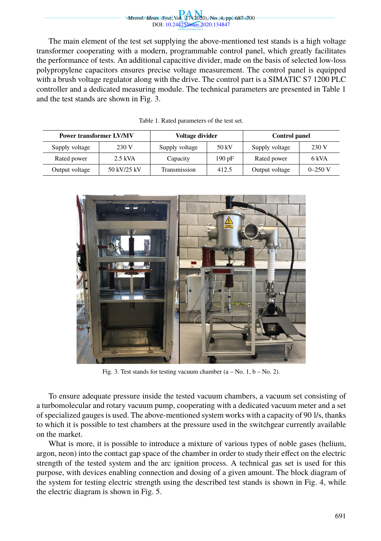

The main element of the test set supplying the above-mentioned test stands is a high voltage transformer cooperating with a modern, programmable control panel, which greatly facilitates the performance of tests. An additional capacitive divider, made on the basis of selected low-loss polypropylene capacitors ensures precise voltage measurement. The control panel is equipped with a brush voltage regulator along with the drive. The control part is a SIMATIC S7 1200 PLC controller and a dedicated measuring module. The technical parameters are presented in Table 1 and the test stands are shown in Fig. 3.

Table 1. Rated parameters of the test set.

| <b>Power transformer LV/MV</b> |             | Voltage divider |       | <b>Control panel</b> |             |
|--------------------------------|-------------|-----------------|-------|----------------------|-------------|
| Supply voltage                 | 230 V       | Supply voltage  | 50 kV | Supply voltage       | 230 V       |
| Rated power                    | $2.5$ kVA   | Capacity        | 190pF | Rated power          | 6 kVA       |
| Output voltage                 | 50 kV/25 kV | Transmission    | 412.5 | Output voltage       | $0 - 250$ V |



Fig. 3. Test stands for testing vacuum chamber  $(a - No. 1, b - No. 2)$ .

To ensure adequate pressure inside the tested vacuum chambers, a vacuum set consisting of a turbomolecular and rotary vacuum pump, cooperating with a dedicated vacuum meter and a set of specialized gauges is used. The above-mentioned system works with a capacity of 90 l/s, thanks to which it is possible to test chambers at the pressure used in the switchgear currently available on the market.

What is more, it is possible to introduce a mixture of various types of noble gases (helium, argon, neon) into the contact gap space of the chamber in order to study their effect on the electric strength of the tested system and the arc ignition process. A technical gas set is used for this purpose, with devices enabling connection and dosing of a given amount. The block diagram of the system for testing electric strength using the described test stands is shown in Fig. 4, while the electric diagram is shown in Fig. 5.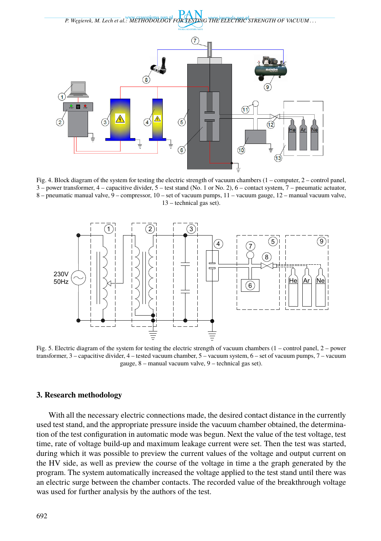

Fig. 4. Block diagram of the system for testing the electric strength of vacuum chambers (1 – computer, 2 – control panel, 3 – power transformer, 4 – capacitive divider, 5 – test stand (No. 1 or No. 2), 6 – contact system, 7 – pneumatic actuator, 8 – pneumatic manual valve, 9 – compressor, 10 – set of vacuum pumps, 11 – vacuum gauge, 12 – manual vacuum valve, 13 – technical gas set).



Fig. 5. Electric diagram of the system for testing the electric strength of vacuum chambers (1 – control panel, 2 – power transformer, 3 – capacitive divider, 4 – tested vacuum chamber, 5 – vacuum system, 6 – set of vacuum pumps, 7 – vacuum gauge, 8 – manual vacuum valve, 9 – technical gas set).

# **3. Research methodology**

With all the necessary electric connections made, the desired contact distance in the currently used test stand, and the appropriate pressure inside the vacuum chamber obtained, the determination of the test configuration in automatic mode was begun. Next the value of the test voltage, test time, rate of voltage build-up and maximum leakage current were set. Then the test was started, during which it was possible to preview the current values of the voltage and output current on the HV side, as well as preview the course of the voltage in time a the graph generated by the program. The system automatically increased the voltage applied to the test stand until there was an electric surge between the chamber contacts. The recorded value of the breakthrough voltage was used for further analysis by the authors of the test.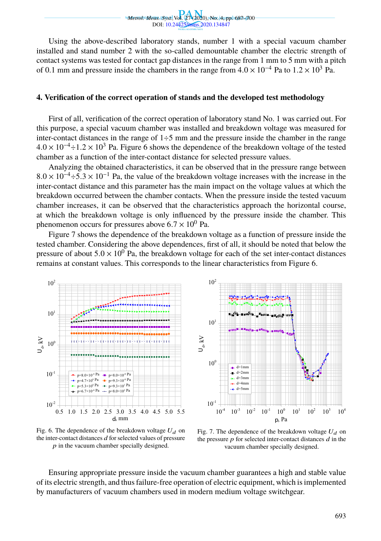

Using the above-described laboratory stands, number 1 with a special vacuum chamber installed and stand number 2 with the so-called demountable chamber the electric strength of contact systems was tested for contact gap distances in the range from 1 mm to 5 mm with a pitch of 0.1 mm and pressure inside the chambers in the range from  $4.0 \times 10^{-4}$  Pa to  $1.2 \times 10^{3}$  Pa.

#### **4. Verification of the correct operation of stands and the developed test methodology**

First of all, verification of the correct operation of laboratory stand No. 1 was carried out. For this purpose, a special vacuum chamber was installed and breakdown voltage was measured for inter-contact distances in the range of  $1\div 5$  mm and the pressure inside the chamber in the range  $4.0 \times 10^{-4} \div 1.2 \times 10^{3}$  Pa. Figure 6 shows the dependence of the breakdown voltage of the tested chamber as a function of the inter-contact distance for selected pressure values.

Analyzing the obtained characteristics, it can be observed that in the pressure range between  $8.0 \times 10^{-4}$  ÷ 5.3 × 10<sup>-1</sup> Pa, the value of the breakdown voltage increases with the increase in the inter-contact distance and this parameter has the main impact on the voltage values at which the breakdown occurred between the chamber contacts. When the pressure inside the tested vacuum chamber increases, it can be observed that the characteristics approach the horizontal course, at which the breakdown voltage is only influenced by the pressure inside the chamber. This phenomenon occurs for pressures above  $6.7 \times 10^0$  Pa.

Figure 7 shows the dependence of the breakdown voltage as a function of pressure inside the tested chamber. Considering the above dependences, first of all, it should be noted that below the pressure of about  $5.0 \times 10^{0}$  Pa, the breakdown voltage for each of the set inter-contact distances remains at constant values. This corresponds to the linear characteristics from Figure 6.





Fig. 7. The dependence of the breakdown voltage  $U_d$  on the pressure  $p$  for selected inter-contact distances  $d$  in the vacuum chamber specially designed.

Ensuring appropriate pressure inside the vacuum chamber guarantees a high and stable value of its electric strength, and thus failure-free operation of electric equipment, which is implemented by manufacturers of vacuum chambers used in modern medium voltage switchgear.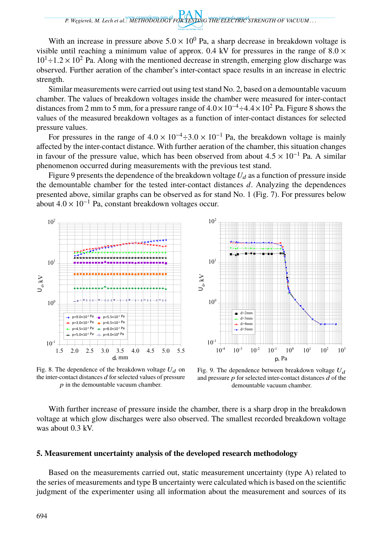With an increase in pressure above  $5.0 \times 10^{0}$  Pa, a sharp decrease in breakdown voltage is visible until reaching a minimum value of approx. 0.4 kV for pressures in the range of  $8.0 \times$  $10^1 \div 1.2 \times 10^2$  Pa. Along with the mentioned decrease in strength, emerging glow discharge was observed. Further aeration of the chamber's inter-contact space results in an increase in electric strength.

Similar measurements were carried out using test stand No. 2, based on a demountable vacuum chamber. The values of breakdown voltages inside the chamber were measured for inter-contact distances from 2 mm to 5 mm, for a pressure range of  $4.0 \times 10^{-4} \div 4.4 \times 10^{2}$  Pa. Figure 8 shows the values of the measured breakdown voltages as a function of inter-contact distances for selected pressure values.

For pressures in the range of  $4.0 \times 10^{-4} \div 3.0 \times 10^{-1}$  Pa, the breakdown voltage is mainly affected by the inter-contact distance. With further aeration of the chamber, this situation changes in favour of the pressure value, which has been observed from about  $4.5 \times 10^{-1}$  Pa. A similar phenomenon occurred during measurements with the previous test stand.

Figure 9 presents the dependence of the breakdown voltage  $U_d$  as a function of pressure inside the demountable chamber for the tested inter-contact distances *d*. Analyzing the dependences presented above, similar graphs can be observed as for stand No. 1 (Fig. 7). For pressures below about  $4.0 \times 10^{-1}$  Pa, constant breakdown voltages occur.



Fig. 8. The dependence of the breakdown voltage  $U_d$  on the inter-contact distances  $d$  for selected values of pressure  $p$  in the demountable vacuum chamber.

Fig. 9. The dependence between breakdown voltage  $U_d$ and pressure  $p$  for selected inter-contact distances  $d$  of the demountable vacuum chamber.

With further increase of pressure inside the chamber, there is a sharp drop in the breakdown voltage at which glow discharges were also observed. The smallest recorded breakdown voltage was about  $0.3$  kV.

## **5. Measurement uncertainty analysis of the developed research methodology**

Based on the measurements carried out, static measurement uncertainty (type A) related to the series of measurements and type B uncertainty were calculated which is based on the scientific judgment of the experimenter using all information about the measurement and sources of its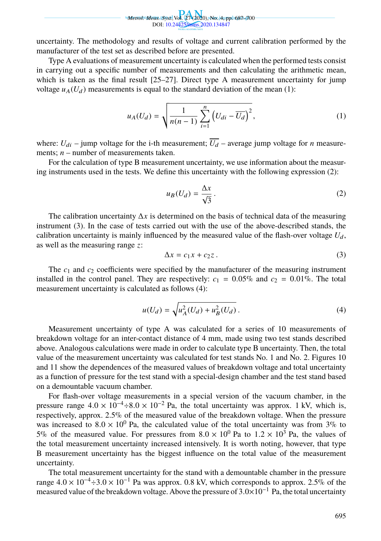

uncertainty. The methodology and results of voltage and current calibration performed by the manufacturer of the test set as described before are presented.

Type A evaluations of measurement uncertainty is calculated when the performed tests consist in carrying out a specific number of measurements and then calculating the arithmetic [me](#page-8-0)an, which is taken as the final result  $[25-27]$ . Direct type A measurement uncertainty for jump voltage  $u_A(U_d)$  measurements is equal to the standard deviation of the mean (1):

<span id="page-8-0"></span>
$$
u_A(U_d) = \sqrt{\frac{1}{n(n-1)} \sum_{i=1}^n (U_{di} - \overline{U_d})^2},
$$
 (1)

where:  $U_{di}$  – jump voltage for the i-th measurement;  $\overline{U_d}$  – average jump voltage for *n* measurements; *n* – number of measurements taken.

For the calculation of type B measurement uncertainty, we use information about the measuring instruments used in the tests. We define this uncertainty with the following expression (2):

<span id="page-8-1"></span>
$$
u_B(U_d) = \frac{\Delta x}{\sqrt{3}}.
$$
 (2)

The calibration uncertainty ∆*x* is determined on the basis of technical data of the measuring instrument (3). In the case of tests carried out with the use of the above-described stands, the calibration uncertainty is mainly influenced by the measured value of the flash-over voltage  $U_d$ , as well as the measuring range *z*:

$$
\Delta x = c_1 x + c_2 z. \tag{3}
$$

The  $c_1$  and  $c_2$  coefficients were specified by the manufacturer of the measuring instrument installed in the control panel. They are respectively:  $c_1 = 0.05\%$  and  $c_2 = 0.01\%$ . The total measurement uncertainty is calculated as follows (4):

$$
u(U_d) = \sqrt{u_A^2(U_d) + u_B^2(U_d)}.
$$
 (4)

Measurement uncertainty of type A was calculated for a series of 10 measurements of breakdown voltage for an inter-contact distance of 4 mm, made using two test stands described above. Analogous calculations were made in order to calculate type B uncertainty. Then, the total value of the measurement uncertainty was calculated for test stands No. 1 and No. 2. Figures 10 and 11 show the dependences of the measured values of breakdown voltage and total uncertainty as a function of pressure for the test stand with a special-design chamber and the test stand based on a demountable vacuum chamber.

For flash-over voltage measurements in a special version of the vacuum chamber, in the pressure range  $4.0 \times 10^{-4} \div 8.0 \times 10^{-2}$  Pa, the total uncertainty was approx. 1 kV, which is, respectively, approx. 2.5% of the measured value of the breakdown voltage. When the pressure was increased to  $8.0 \times 10^{0}$  Pa, the calculated value of the total uncertainty was from 3% to 5% of the measured value. For pressures from  $8.0 \times 10^{0}$  Pa to  $1.2 \times 10^{3}$  Pa, the values of the total measurement uncertainty increased intensively. It is worth noting, however, that type B measurement uncertainty has the biggest influence on the total value of the measurement uncertainty.

The total measurement uncertainty for the stand with a demountable chamber in the pressure range  $4.0 \times 10^{-4} \div 3.0 \times 10^{-1}$  Pa was approx. 0.8 kV, which corresponds to approx. 2.5% of the measured value of the breakdown voltage. Above the pressure of <sup>3</sup>.0×10−<sup>1</sup> Pa, the total uncertainty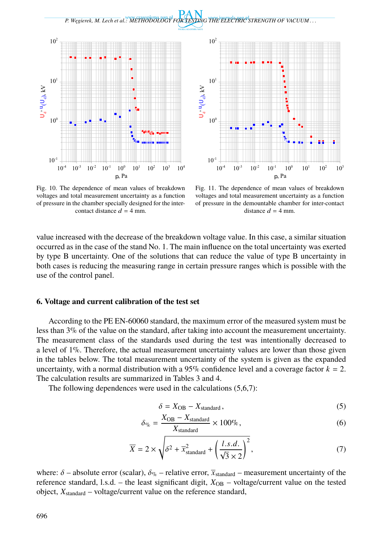



Fig. 10. The dependence of mean values of breakdown voltages and total measurement uncertainty as a function of pressure in the chamber specially designed for the intercontact distance  $d = 4$  mm.

Fig. 11. The dependence of mean values of breakdown voltages and total measurement uncertainty as a function of pressure in the demountable chamber for inter-contact distance  $d = 4$  mm.

value increased with the decrease of the breakdown voltage value. In this case, a similar situation occurred as in the case of the stand No. 1. The main influence on the total uncertainty was exerted by type B uncertainty. One of the solutions that can reduce the value of type B uncertainty in both cases is reducing the measuring range in certain pressure ranges which is possible with the use of the control panel.

#### **6. Voltage and current calibration of the test set**

According to the PE EN-60060 standard, the maximum error of the measured system must be less than 3% of the value on the standard, after taking into account the measurement uncertainty. The measurement class of the standards used during the test was intentionally decreased to a level of 1%. Therefore, the actual measurement uncertainty values are lower than those given in the tables below. The total measurement uncertainty of the system is given as the expanded uncertainty, with a normal distribution with a 95% confidence level and a coverage factor  $k = 2$ . The calculation results are summarized in Tables 3 and 4.

The following dependences were used in the calculations (5,6,7):

$$
\delta = X_{\rm OB} - X_{\rm standard},\tag{5}
$$

$$
\delta_{\%} = \frac{X_{\text{OB}} - X_{\text{standard}}}{X_{\text{standard}}} \times 100\%,\tag{6}
$$

$$
\overline{X} = 2 \times \sqrt{\delta^2 + \overline{x}_{\text{standard}}^2 + \left(\frac{l.s.d.}{\sqrt{3} \times 2}\right)^2},\tag{7}
$$

where:  $\delta$  – absolute error (scalar),  $\delta_{\mathcal{G}_0}$  – relative error,  $\bar{x}_{standard}$  – measurement uncertainty of the reference standard, l.s.d. – the least significant digit,  $X_{OB}$  – voltage/current value on the tested object,  $X_{standard}$  – voltage/current value on the reference standard,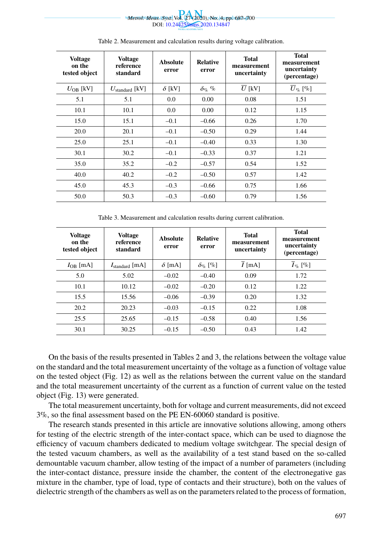

| <b>Voltage</b><br>on the<br>tested object | <b>Voltage</b><br>reference<br>standard | <b>Absolute</b><br>error | <b>Relative</b><br>error | <b>Total</b><br>measurement<br>uncertainty | <b>Total</b><br>measurement<br>uncertainty<br>(percentage) |
|-------------------------------------------|-----------------------------------------|--------------------------|--------------------------|--------------------------------------------|------------------------------------------------------------|
| $U_{OR}$ [kV]                             | $U_{\text{standard}}$ [kV]              | $\delta$ [kV]            | $\delta$ <sub>%</sub> %  | $\overline{U}$ [kV]                        | $\overline{U}_{\%}\ [\%]$                                  |
| 5.1                                       | 5.1                                     | 0.0                      | 0.00                     | 0.08                                       | 1.51                                                       |
| 10.1                                      | 10.1                                    | 0.0                      | 0.00                     | 0.12                                       | 1.15                                                       |
| 15.0                                      | 15.1                                    | $-0.1$                   | $-0.66$                  | 0.26                                       | 1.70                                                       |
| 20.0                                      | 20.1                                    | $-0.1$                   | $-0.50$                  | 0.29                                       | 1.44                                                       |
| 25.0                                      | 25.1                                    | $-0.1$                   | $-0.40$                  | 0.33                                       | 1.30                                                       |
| 30.1                                      | 30.2                                    | $-0.1$                   | $-0.33$                  | 0.37                                       | 1.21                                                       |
| 35.0                                      | 35.2                                    | $-0.2$                   | $-0.57$                  | 0.54                                       | 1.52                                                       |
| 40.0                                      | 40.2                                    | $-0.2$                   | $-0.50$                  | 0.57                                       | 1.42                                                       |
| 45.0                                      | 45.3                                    | $-0.3$                   | $-0.66$                  | 0.75                                       | 1.66                                                       |
| 50.0                                      | 50.3                                    | $-0.3$                   | $-0.60$                  | 0.79                                       | 1.56                                                       |

Table 2. Measurement and calculation results during voltage calibration.

Table 3. Measurement and calculation results during current calibration.

| <b>Voltage</b><br>on the<br>tested object | <b>Voltage</b><br>reference<br>standard | <b>Absolute</b><br>error | <b>Relative</b><br>error  | <b>Total</b><br>measurement<br>uncertainty | <b>Total</b><br>measurement<br>uncertainty<br>(percentage) |
|-------------------------------------------|-----------------------------------------|--------------------------|---------------------------|--------------------------------------------|------------------------------------------------------------|
| $I_{\rm OB}$ [mA]                         | $I_{\text{standard}}$ [mA]              | $\delta$ [mA]            | $\delta$ <sub>%</sub> [%] | $I$ [mA]                                   | $I_{\%}$ [%]                                               |
| 5.0                                       | 5.02                                    | $-0.02$                  | $-0.40$                   | 0.09                                       | 1.72                                                       |
| 10.1                                      | 10.12                                   | $-0.02$                  | $-0.20$                   | 0.12                                       | 1.22                                                       |
| 15.5                                      | 15.56                                   | $-0.06$                  | $-0.39$                   | 0.20                                       | 1.32                                                       |
| 20.2                                      | 20.23                                   | $-0.03$                  | $-0.15$                   | 0.22                                       | 1.08                                                       |
| 25.5                                      | 25.65                                   | $-0.15$                  | $-0.58$                   | 0.40                                       | 1.56                                                       |
| 30.1                                      | 30.25                                   | $-0.15$                  | $-0.50$                   | 0.43                                       | 1.42                                                       |
|                                           |                                         |                          |                           |                                            |                                                            |

On the basis of the results presented in Tables 2 and 3, the relations between the voltage value on the standard and the total measurement uncertainty of the voltage as a function of voltage value on the tested object (Fig. 12) as well as the relations between the current value on the standard and the total measurement uncertainty of the current as a function of current value on the tested object (Fig. 13) were generated.

The total measurement uncertainty, both for voltage and current measurements, did not exceed 3%, so the final assessment based on the PE EN-60060 standard is positive.

The research stands presented in this article are innovative solutions allowing, among others for testing of the electric strength of the inter-contact space, which can be used to diagnose the efficiency of vacuum chambers dedicated to medium voltage switchgear. The special design of the tested vacuum chambers, as well as the availability of a test stand based on the so-called demountable vacuum chamber, allow testing of the impact of a number of parameters (including the inter-contact distance, pressure inside the chamber, the content of the electronegative gas mixture in the chamber, type of load, type of contacts and their structure), both on the values of dielectric strength of the chambers as well as on the parameters related to the process of formation,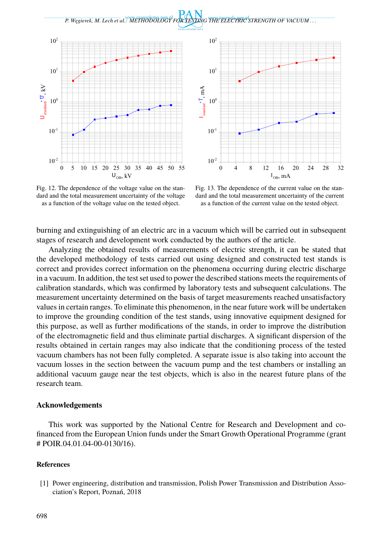

Fig. 12. The dependence of the voltage value on the standard and the total measurement uncertainty of the voltage as a function of the voltage value on the tested object.

Fig. 13. The dependence of the current value on the standard and the total measurement uncertainty of the current as a function of the current value on the tested object.

burning and extinguishing of an electric arc in a vacuum which will be carried out in subsequent stages of research and development work conducted by the authors of the article.

Analyzing the obtained results of measurements of electric strength, it can be stated that the developed methodology of tests carried out using designed and constructed test stands is correct and provides correct information on the phenomena occurring during electric discharge in a vacuum. In addition, the test set used to power the described stations meets the requirements of calibration standards, which was confirmed by laboratory tests and subsequent calculations. The measurement uncertainty determined on the basis of target measurements reached unsatisfactory values in certain ranges. To eliminate this phenomenon, in the near future work will be undertaken to improve the grounding condition of the test stands, using innovative equipment designed for this purpose, as well as further modifications of the stands, in order to improve the distribution of the electromagnetic field and thus eliminate partial discharges. A significant dispersion of the results obtained in certain ranges may also indicate that the conditioning process of the tested vacuum chambers has not been fully completed. A separate issue is also taking into account the vacuum losses in the section between the vacuum pump and the test chambers or installing an additional vacuum gauge near the test objects, which is also in the nearest future plans of the research team.

### **Acknowledgements**

This work was supported by the National Centre for Research and Development and cofinanced from the European Union funds under the Smart Growth Operational Programme (grant # POIR.04.01.04-00-0130/16).

#### **References**

[1] Power engineering, distribution and transmission, Polish Power Transmission and Distribution Association's Report, Poznań, 2018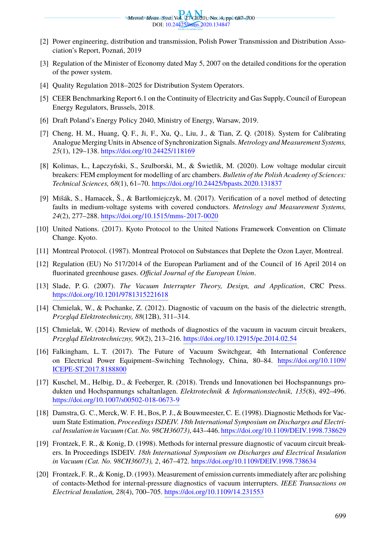

- [2] Power engineering, distribution and transmission, Polish Power Transmission and Distribution Association's Report, [Poznań, 2019](https://doi.org/10.24425/118169)
- [3] Regulation of the Minister of Economy dated May 5, 2007 on the detailed conditions for the operation of the power system.
- [4] Quality Regulation 2018–2025 fo[r Distribution System Operators.](https://doi.org/10.24425/bpasts.2020.131837)
- [5] CEER Benchmarking Report 6.1 on the Continuity of Electricity and Gas Supply, Council of European Energy Regulators, Brussels, 2018.
- [6] Draft Poland's E[nergy Policy 2040, Ministry of Energy, W](https://doi.org/10.1515/mms-2017-0020)arsaw, 2019.
- [7] Cheng, H. M., Huang, Q. F., Ji, F., Xu, Q., Liu, J., & Tian, Z. Q. (2018). System for Calibrating Analogue Merging Units in Absence of Synchronization Signals. *Metrology and Measurement Systems, 25*(1), 129–138. https://doi.org/10.24425/118169
- [8] Kolimas, Ł., Łapczyński, S., Szulborski, M., & Świetlik, M. (2020). Low voltage modular circuit breakers: FEM employment for modelling of arc chambers. *Bulletin of the Polish Academy of Sciences: Technical Sciences, 68*(1), 61–70. https://doi.org/10.24425/bpasts.2020.131837
- [9] [Mišák, S., Hamacek, Š., & Bartłomiejc](https://doi.org/10.1201/9781315221618)zyk, M. (2017). Verification of a novel method of detecting faults in medium-voltage systems with covered conductors. *Metrology and Measurement Systems, 24*(2), 277–288. https://doi.org/10.1515/mms-2017-0020
- [10] United Nations. (2017). Kyoto Protocol to the United Nations Framework Convention on Climate Change. Kyoto.
- [11] Montreal Protocol. (1987). Montreal Protocol on Substances that Deplete the Ozon Layer, Montreal.
- [12] Regulation (EU) No 517/2014 of the European Parliament and of the Coun[cil of 16 April 2014 on](https://doi.org/10.1109/ICEPE-ST.2017.8188800) [fluorinated greenhouse ga](https://doi.org/10.1109/ICEPE-ST.2017.8188800)ses. *Official Journal of the European Union*.
- [13] Slade, P. G. (2007). *The Vacuum Interrupter Theory, Design, and Application*, CRC Press. [https://doi.org/10.1201/9781315221618](https://doi.org/10.1007/s00502-018-0673-9)
- [14] Chmielak, W., & Pochanke, Z. (2012). Diagnostic of vacuum on the basis of the dielectric strength, *Przegl ˛ad Elektrotechniczny, 88*(12B), 311–314.
- [15] Chmielak, W. (2014). Review of methods of diagnostics [of the vacuum in vacuum circuit breakers,](https://doi.org/10.1109/DEIV.1998.738629) *Przegl ˛ad Elektrotechniczny, 90*(2), 213–216. https://doi.org/10.12915/pe.2014.02.54
- [16] Falkingham, L. T. (2017). The Future of Vacuum Switchgear, 4th International Conference on Electrical Power Equipment–Switching [Technology, China, 80–84.](https://doi.org/10.1109/DEIV.1998.738634) https://doi.org/10.1109/ ICEPE-ST.2017.8188800
- [17] Kuschel, M., Helbig, D., & Feeberger, R. (2018). Trends und Innovationen bei Hochspannungs produkten und Hochspannungs schaltanlagen. *[Elektrotechnik & Information](https://doi.org/10.1109/14.231553)stechnik, 135*(8), 492–496. https://doi.org/10.1007/s00502-018-0673-9
- [18] Damstra, G. C., Merck, W. F. H., Bos, P. J., & Bouwmeester, C. E. (1998). Diagnostic Methods for Vacuum State Estimation, *Proceedings ISDEIV. 18th International Symposium on Discharges and Electrical Insulation in Vacuum (Cat. No. 98CH36073)*, 443–446. https://doi.org/10.1109/DEIV.1998.738629
- [19] Frontzek, F. R., & Konig, D. (1998). Methods for internal pressure diagnostic of vacuum circuit breakers. In Proceedings ISDEIV. *18th International Symposium on Discharges and Electrical Insulation in Vacuum (Cat. No. 98CH36073), 2*, 467–472. https://doi.org/10.1109/DEIV.1998.738634
- [20] Frontzek, F. R., & Konig, D. (1993). Measurement of emission currents immediately after arc polishing of contacts-Method for internal-pressure diagnostics of vacuum interrupters. *IEEE Transactions on Electrical Insulation, 28*(4), 700–705. https://doi.org/10.1109/14.231553